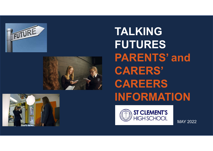



# TALKING FUTURES PARENTS' and CARERS' CAREERS INFORMATION



MAY 2022

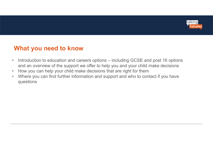

### What you need to know

- **Entity of the Mark of School Community Control Control Control Control Control Control Control Control Control Control Control Control Control Control Control Control Control Control Control Control Control Control Contro** and an overview of the support we offer to help you and your child make decisions **What you need to know**<br>• Introduction to education and careers options – including GCSE and post 16 options<br>• and an overview of the support we offer to help you and your child make decisions<br>• How you can help your child **• What you need to know**<br>• Introduction to education and careers options – including GCSE and post 16 options<br>• How you can help your child make decisions that are right for them<br>• Where you can find further information a
- 
- questions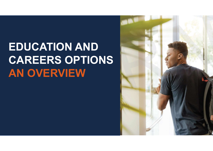# EDUCATION AND CAREERS OPTIONS AN OVERVIEW

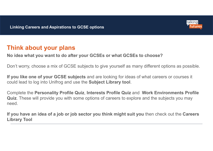

### Think about your plans

#### No idea what you want to do after your GCSEs or what GCSEs to choose?

Don't worry, choose a mix of GCSE subjects to give yourself as many different options as possible.

If you like one of your GCSE subjects and are looking for ideas of what careers or courses it Could lead to log into Unifrop and Aspirations to CCSE options<br>
Think about your plans<br>
No idea what you want to do after your GCSEs or what GCSEs to choose?<br>
Don't worry, choose a mix of GCSE subjects to give yourself as

Quiz. These will provide you with some options of careers to explore and the subjects you may need.

If you have an idea of a job or job sector you think might suit you then check out the Careers Library Tool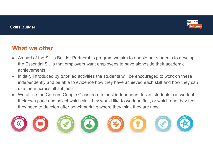

- As part of the Skills Builder Partnership program we aim to enable our students to develop the Essential Skills that employers want employees to have alongside their academic achievements.
- Initially introduced by tutor led activities the students will be encouraged to work on these independently and be able to evidence how they have achieved each skill and how they can use them across all subjects. What we offer<br>
• As part of the Skills Builder Partnership program we aim to enable our students to develop<br>
the Essential Skills that employers want employees to have alongside their academic<br>
• Initially introduced by tu
- their own pace and select which skill they would like to work on first, or which one they feel they need to develop after benchmarking where they think they are now.

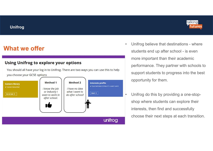#### Unifrog



## What we offer

#### **Using Unifrog to explore your options**

You should all have your log in to Unifrog. There are two ways you can use this to help vou choose your GCSE options



- **talking**<br>
 Unifrog believe that destinations where<br>
students end up after school is even<br>
more important than their academic talking<br>
Unifrog believe that destinations - where<br>
students end up after school - is even<br>
more important than their academic<br>
performance. They partner with schools to more important than their academic performance. They partner with schools to support students to progress into the best opportunity for them. • Unifrog believe that destinations - where<br>students end up after school - is even<br>more important than their academic<br>performance. They partner with schools to<br>support students to progress into the best<br>opportunity for the
- shop where students can explore their interests, then find and successfully choose their next steps at each transition.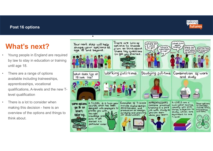#### Post 16 options



- Post 16 options<br>
What's next?<br>
Young people in England are required<br>
by law to stay in education or training<br>
until age 18. by law to stay in education or training until age 18.
- **Post 16 options<br>
What's next?**<br>
 Young people in England are required<br>
by law to stay in education or training<br>
until age 18.<br>
 There are a range of options<br>
available including traineeships,<br>
apprenticeships, vocationa available including traineeships. **18 look** like? apprenticeships, vocational qualifications, A-levels and the new Tlevel qualification
- overview of the options and things to the right the right with think about.

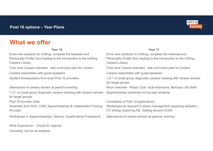

| Post 16 options - Year Plans                                                                                                                               | talking<br>iutures                                                                                                                                         |
|------------------------------------------------------------------------------------------------------------------------------------------------------------|------------------------------------------------------------------------------------------------------------------------------------------------------------|
| <b>What we offer</b>                                                                                                                                       |                                                                                                                                                            |
| Year 10                                                                                                                                                    | Year 11                                                                                                                                                    |
| Enrol new students on Unifrog, complete the Interests and<br>Personality Profile Quiz leading to the introduction to the Unifrog<br><b>Careers Library</b> | Enrol new students on Unifrog, complete the Interests and<br>Personality Profile Quiz leading to the introduction to the Unifrog<br><b>Careers Library</b> |
| Tutor time Careers activities - see curriculum plan for content                                                                                            | Tutor time Careers activities - see curriculum plan for content                                                                                            |
| Careers assemblies with guest speakers                                                                                                                     | Careers assemblies with guest speakers                                                                                                                     |
| Student Ambassadors from local Post 16 providers                                                                                                           | 1-2-1 or small group diagnostic careers meeting with careers adviser<br>for target groups                                                                  |
| Attendance of careers advisor at parent's evening                                                                                                          | Mock interview - Rotary Club, local employers, Barclays Life Skills                                                                                        |
| 1-2-1 or small group diagnostic careers meeting with careers adviser<br>for target groups                                                                  | Apprenticeship workshop for focused students                                                                                                               |
| Post 16 provider visits<br>Assembly from SHS, CWA, Apprenticeships & Independent Training<br>Provider                                                      | Completion of Post 16 applications<br>Workshops as required in stress management, exploring websites,<br>CV writing, Exploring HE, Getting around UCAS     |
| Workshops in: Apprenticeships, Options, Qualifications Framework                                                                                           | Attendance of careers advisor at parents' evening                                                                                                          |
| Work Experience - Virtual for majority                                                                                                                     |                                                                                                                                                            |
| University visit for all students                                                                                                                          |                                                                                                                                                            |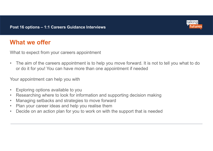

What to expect from your careers appointment

• The aim of the careers appointment<br>• The aim of the careers appointment<br>• The aim of the careers appointment is to help you move forward. It is not to tell you what to do<br>• or do it for you! You can have more than one ap or do it for you! You can have more than one appointment if needed Fost 16 options – 1:1 Careers Guidance Interviews<br>
What we offer<br>
What to expect from your careers appointment<br>
• The aim of the careers appointment is to help you move<br>
or do it for you! You can have more than one appoint what to expect from your careers appointment<br>• The aim of the careers appointment is to help you move forward. It is not to tell you what to do<br>• or do it for you! You can have more than one appointment if needed<br>• Your ap what to expect from your careers appointment<br>• The aim of the careers appointment is to help you move forward. It is not to rot of the careers appointment is to help you move forward. It is not to rot of the you!<br>• Your ap **What to expect from your careers appointment**<br>
• The aim of the careers appointment is to help you move forward. It is not to tell you wh<br>
or do it for you! You can have more than one appointment if needed<br>
• Your appoin • The aim of the careers appointment<br>• The aim of the careers appointment is to help you move forward. It is not to<br>or do it for you! You can have more than one appointment if needed<br>• Your appointment can help you with<br>•

Your appointment can help you with

- 
- 
- 
- 
-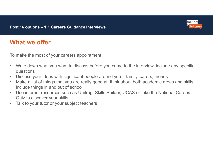

To make the most of your careers appointment

- **1994 Post 16 options 1:1 Careers Guidance Interviews**<br> **What we offer**<br>
To make the most of your careers appointment<br>
 Write down what you want to discuss before you come to the interview, include any specific<br>
 Dis questions
- 
- **What we offer**<br>• What we offer<br>• To make the most of your careers appointment<br>• Write down what you want to discuss before you come to the interview, include any specific<br>• Wite down what you want to discuss before you **• What we offer**<br>• What we offer<br>• To make the most of your careers appointment<br>• Write down what you want to discuss before you come to the interview, include any specific<br>• Discuss your ideas with significant people ar include things in and out of school **• What we offer**<br>• Write down what you want to discuss before you come to the interview, include any specific<br>• Write down what you want to discuss before you come to the interview, include any specific<br>• Discuss your id **What we offer**<br>
To make the most of your careers appointmer<br>
• Write down what you want to discuss before<br>
• Discuss your ideas with significant people<br>
• Make a list of things that you are really goder<br>
• Use internet re
- Quiz to discover your skills
-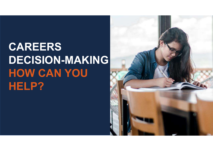# CAREERS DECISION-MAKING HOW CAN YOU HELP?

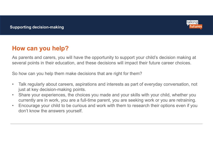

## How can you help?

As parents and carers, you will have the opportunity to support your child's decision making at several points in their education, and these decisions will impact their future career choices.

So how can you help them make decisions that are right for them?

- **How can you help?**<br>• Talking about the property of the expectation of the property of the property of the present points in their education, and these decisions will impact their future career choices.<br>• So how can you just at key decision-making points. **From Share your community** to support your child's decision making at<br>several points in their education, and these decisions will impact their future career choices.<br>So how can you help them make decisions that are right
- currently are in work, you are a full-time parent, you are seeking work or you are retraining.
- **Frow can you help?**<br>As parents and carers, you will have the opportunity to support your child's decision making at<br>several points in their education, and these decisions will impact their future career choices.<br>So how ca don't know the answers yourself.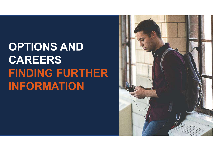# OPTIONS AND CAREERS FINDING FURTHER INFORMATION

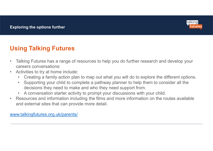

## Using Talking Futures

- Talking Talking Futures<br>• Talking Talking Futures<br>• Talking Futures has a range of resources to help you do further research and develop your<br>• Activities to try at home include:<br>• Creating a family action plan to map ou careers conversations: Exploring the options further<br>
Using Talking Futures<br>
• Talking Futures has a range of resources to<br>
careers conversations:<br>
• Activities to try at home include:<br>
• Creating a family action plan to map ou<br>
• Supporting you Final Screen of Testam and the options further the product of the protectors of the proteins and the different options are different conversations:<br>Creating a family action plan to map out what you will do to explore the d Falking<br> **ing Talking Futures**<br> **ing Talking Futures**<br>
Saking Futures has a range of resources to help you do further research and develop your<br>
arerers conversations:<br>
• Creating a family action plan to map out what you w From the starting of the starting and the products taking Futures has a range of resources to help you do further research and develop your and activities to try at home include:<br>
• Creating a family action plan to map out **Using Talking Futures**<br>
• Talking Futures has a range of resources to help you do further research and develop your careers conversations:<br>
• Activities to try at home include:<br>
• Creating a family action plan to map out
- -
	- decisions they need to make and who they need support from.
	-
- and external sites that can provide more detail.

www.talkingfutures.org.uk/parents/